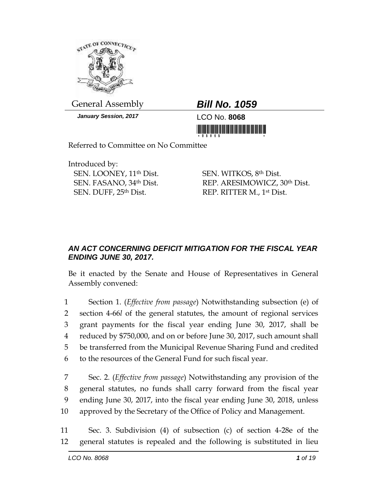

General Assembly *Bill No. 1059*

*January Session, 2017* LCO No. **8068**

Referred to Committee on No Committee

Introduced by: SEN. LOONEY, 11th Dist. SEN. FASANO, 34th Dist. SEN. DUFF, 25th Dist.

SEN. WITKOS, 8th Dist. REP. ARESIMOWICZ, 30th Dist. REP. RITTER M., 1st Dist.

## *AN ACT CONCERNING DEFICIT MITIGATION FOR THE FISCAL YEAR ENDING JUNE 30, 2017.*

Be it enacted by the Senate and House of Representatives in General Assembly convened:

 Section 1. (*Effective from passage*) Notwithstanding subsection (e) of section 4-66*l* of the general statutes, the amount of regional services grant payments for the fiscal year ending June 30, 2017, shall be reduced by \$750,000, and on or before June 30, 2017, such amount shall be transferred from the Municipal Revenue Sharing Fund and credited to the resources of the General Fund for such fiscal year.

 Sec. 2. (*Effective from passage*) Notwithstanding any provision of the general statutes, no funds shall carry forward from the fiscal year ending June 30, 2017, into the fiscal year ending June 30, 2018, unless approved by the Secretary of the Office of Policy and Management.

11 Sec. 3. Subdivision (4) of subsection (c) of section 4-28e of the 12 general statutes is repealed and the following is substituted in lieu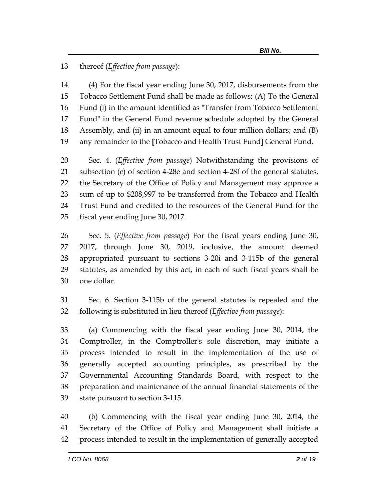thereof (*Effective from passage*):

 (4) For the fiscal year ending June 30, 2017, disbursements from the Tobacco Settlement Fund shall be made as follows: (A) To the General Fund (i) in the amount identified as "Transfer from Tobacco Settlement Fund" in the General Fund revenue schedule adopted by the General Assembly, and (ii) in an amount equal to four million dollars; and (B) any remainder to the **[**Tobacco and Health Trust Fund**]** General Fund.

 Sec. 4. (*Effective from passage*) Notwithstanding the provisions of subsection (c) of section 4-28e and section 4-28f of the general statutes, the Secretary of the Office of Policy and Management may approve a sum of up to \$208,997 to be transferred from the Tobacco and Health Trust Fund and credited to the resources of the General Fund for the fiscal year ending June 30, 2017.

 Sec. 5. (*Effective from passage*) For the fiscal years ending June 30, 2017, through June 30, 2019, inclusive, the amount deemed appropriated pursuant to sections 3-20i and 3-115b of the general statutes, as amended by this act, in each of such fiscal years shall be one dollar.

 Sec. 6. Section 3-115b of the general statutes is repealed and the following is substituted in lieu thereof (*Effective from passage*):

 (a) Commencing with the fiscal year ending June 30, 2014, the Comptroller, in the Comptroller's sole discretion, may initiate a process intended to result in the implementation of the use of generally accepted accounting principles, as prescribed by the Governmental Accounting Standards Board, with respect to the preparation and maintenance of the annual financial statements of the state pursuant to section 3-115.

 (b) Commencing with the fiscal year ending June 30, 2014, the Secretary of the Office of Policy and Management shall initiate a process intended to result in the implementation of generally accepted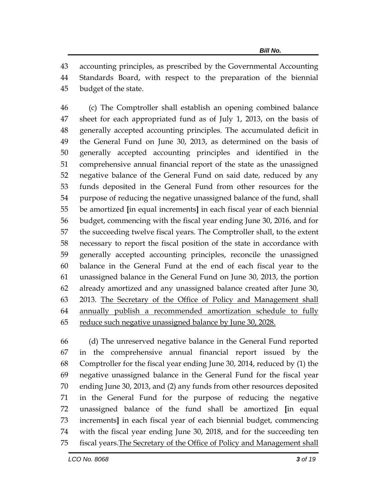accounting principles, as prescribed by the Governmental Accounting

 Standards Board, with respect to the preparation of the biennial budget of the state.

 (c) The Comptroller shall establish an opening combined balance sheet for each appropriated fund as of July 1, 2013, on the basis of generally accepted accounting principles. The accumulated deficit in the General Fund on June 30, 2013, as determined on the basis of generally accepted accounting principles and identified in the comprehensive annual financial report of the state as the unassigned negative balance of the General Fund on said date, reduced by any funds deposited in the General Fund from other resources for the purpose of reducing the negative unassigned balance of the fund, shall be amortized **[**in equal increments**]** in each fiscal year of each biennial budget, commencing with the fiscal year ending June 30, 2016, and for the succeeding twelve fiscal years. The Comptroller shall, to the extent necessary to report the fiscal position of the state in accordance with generally accepted accounting principles, reconcile the unassigned balance in the General Fund at the end of each fiscal year to the unassigned balance in the General Fund on June 30, 2013, the portion already amortized and any unassigned balance created after June 30, 2013. The Secretary of the Office of Policy and Management shall annually publish a recommended amortization schedule to fully reduce such negative unassigned balance by June 30, 2028.

 (d) The unreserved negative balance in the General Fund reported in the comprehensive annual financial report issued by the Comptroller for the fiscal year ending June 30, 2014, reduced by (1) the negative unassigned balance in the General Fund for the fiscal year ending June 30, 2013, and (2) any funds from other resources deposited in the General Fund for the purpose of reducing the negative unassigned balance of the fund shall be amortized **[**in equal increments**]** in each fiscal year of each biennial budget, commencing with the fiscal year ending June 30, 2018, and for the succeeding ten fiscal years.The Secretary of the Office of Policy and Management shall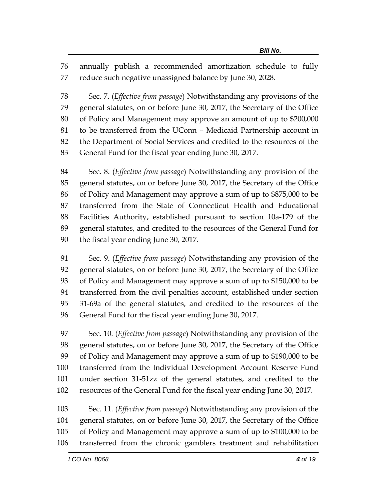annually publish a recommended amortization schedule to fully reduce such negative unassigned balance by June 30, 2028.

 Sec. 7. (*Effective from passage*) Notwithstanding any provisions of the general statutes, on or before June 30, 2017, the Secretary of the Office of Policy and Management may approve an amount of up to \$200,000 to be transferred from the UConn – Medicaid Partnership account in the Department of Social Services and credited to the resources of the General Fund for the fiscal year ending June 30, 2017.

 Sec. 8. (*Effective from passage*) Notwithstanding any provision of the general statutes, on or before June 30, 2017, the Secretary of the Office of Policy and Management may approve a sum of up to \$875,000 to be transferred from the State of Connecticut Health and Educational Facilities Authority, established pursuant to section 10a-179 of the general statutes, and credited to the resources of the General Fund for the fiscal year ending June 30, 2017.

 Sec. 9. (*Effective from passage*) Notwithstanding any provision of the general statutes, on or before June 30, 2017, the Secretary of the Office of Policy and Management may approve a sum of up to \$150,000 to be transferred from the civil penalties account, established under section 31-69a of the general statutes, and credited to the resources of the General Fund for the fiscal year ending June 30, 2017.

 Sec. 10. (*Effective from passage*) Notwithstanding any provision of the general statutes, on or before June 30, 2017, the Secretary of the Office of Policy and Management may approve a sum of up to \$190,000 to be transferred from the Individual Development Account Reserve Fund under section 31-51zz of the general statutes, and credited to the resources of the General Fund for the fiscal year ending June 30, 2017.

 Sec. 11. (*Effective from passage*) Notwithstanding any provision of the general statutes, on or before June 30, 2017, the Secretary of the Office of Policy and Management may approve a sum of up to \$100,000 to be transferred from the chronic gamblers treatment and rehabilitation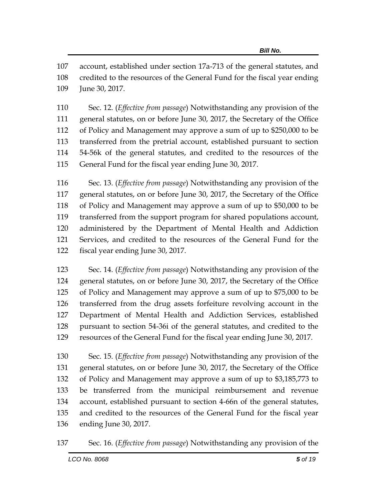account, established under section 17a-713 of the general statutes, and credited to the resources of the General Fund for the fiscal year ending June 30, 2017.

 Sec. 12. (*Effective from passage*) Notwithstanding any provision of the general statutes, on or before June 30, 2017, the Secretary of the Office of Policy and Management may approve a sum of up to \$250,000 to be transferred from the pretrial account, established pursuant to section 54-56k of the general statutes, and credited to the resources of the General Fund for the fiscal year ending June 30, 2017.

 Sec. 13. (*Effective from passage*) Notwithstanding any provision of the general statutes, on or before June 30, 2017, the Secretary of the Office of Policy and Management may approve a sum of up to \$50,000 to be transferred from the support program for shared populations account, administered by the Department of Mental Health and Addiction Services, and credited to the resources of the General Fund for the fiscal year ending June 30, 2017.

 Sec. 14. (*Effective from passage*) Notwithstanding any provision of the general statutes, on or before June 30, 2017, the Secretary of the Office of Policy and Management may approve a sum of up to \$75,000 to be transferred from the drug assets forfeiture revolving account in the Department of Mental Health and Addiction Services, established pursuant to section 54-36i of the general statutes, and credited to the resources of the General Fund for the fiscal year ending June 30, 2017.

 Sec. 15. (*Effective from passage*) Notwithstanding any provision of the general statutes, on or before June 30, 2017, the Secretary of the Office of Policy and Management may approve a sum of up to \$3,185,773 to be transferred from the municipal reimbursement and revenue account, established pursuant to section 4-66n of the general statutes, and credited to the resources of the General Fund for the fiscal year ending June 30, 2017.

Sec. 16. (*Effective from passage*) Notwithstanding any provision of the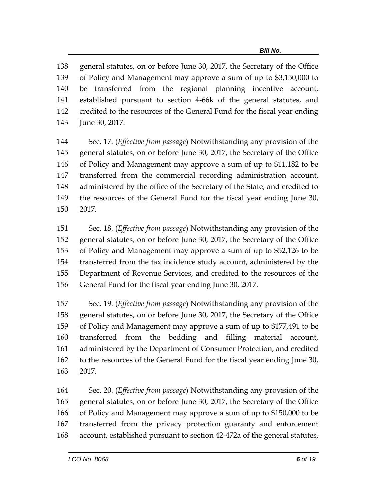general statutes, on or before June 30, 2017, the Secretary of the Office of Policy and Management may approve a sum of up to \$3,150,000 to be transferred from the regional planning incentive account, established pursuant to section 4-66k of the general statutes, and credited to the resources of the General Fund for the fiscal year ending June 30, 2017.

 Sec. 17. (*Effective from passage*) Notwithstanding any provision of the general statutes, on or before June 30, 2017, the Secretary of the Office of Policy and Management may approve a sum of up to \$11,182 to be transferred from the commercial recording administration account, administered by the office of the Secretary of the State, and credited to the resources of the General Fund for the fiscal year ending June 30, 2017.

 Sec. 18. (*Effective from passage*) Notwithstanding any provision of the general statutes, on or before June 30, 2017, the Secretary of the Office of Policy and Management may approve a sum of up to \$52,126 to be transferred from the tax incidence study account, administered by the Department of Revenue Services, and credited to the resources of the General Fund for the fiscal year ending June 30, 2017.

 Sec. 19. (*Effective from passage*) Notwithstanding any provision of the general statutes, on or before June 30, 2017, the Secretary of the Office of Policy and Management may approve a sum of up to \$177,491 to be transferred from the bedding and filling material account, administered by the Department of Consumer Protection, and credited to the resources of the General Fund for the fiscal year ending June 30, 2017.

 Sec. 20. (*Effective from passage*) Notwithstanding any provision of the general statutes, on or before June 30, 2017, the Secretary of the Office of Policy and Management may approve a sum of up to \$150,000 to be transferred from the privacy protection guaranty and enforcement account, established pursuant to section 42-472a of the general statutes,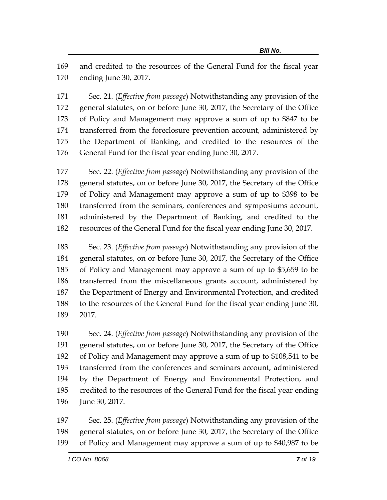and credited to the resources of the General Fund for the fiscal year ending June 30, 2017.

 Sec. 21. (*Effective from passage*) Notwithstanding any provision of the general statutes, on or before June 30, 2017, the Secretary of the Office of Policy and Management may approve a sum of up to \$847 to be transferred from the foreclosure prevention account, administered by the Department of Banking, and credited to the resources of the General Fund for the fiscal year ending June 30, 2017.

 Sec. 22. (*Effective from passage*) Notwithstanding any provision of the general statutes, on or before June 30, 2017, the Secretary of the Office of Policy and Management may approve a sum of up to \$398 to be transferred from the seminars, conferences and symposiums account, administered by the Department of Banking, and credited to the resources of the General Fund for the fiscal year ending June 30, 2017.

 Sec. 23. (*Effective from passage*) Notwithstanding any provision of the general statutes, on or before June 30, 2017, the Secretary of the Office of Policy and Management may approve a sum of up to \$5,659 to be transferred from the miscellaneous grants account, administered by the Department of Energy and Environmental Protection, and credited to the resources of the General Fund for the fiscal year ending June 30, 2017.

 Sec. 24. (*Effective from passage*) Notwithstanding any provision of the general statutes, on or before June 30, 2017, the Secretary of the Office of Policy and Management may approve a sum of up to \$108,541 to be transferred from the conferences and seminars account, administered by the Department of Energy and Environmental Protection, and credited to the resources of the General Fund for the fiscal year ending June 30, 2017.

 Sec. 25. (*Effective from passage*) Notwithstanding any provision of the general statutes, on or before June 30, 2017, the Secretary of the Office of Policy and Management may approve a sum of up to \$40,987 to be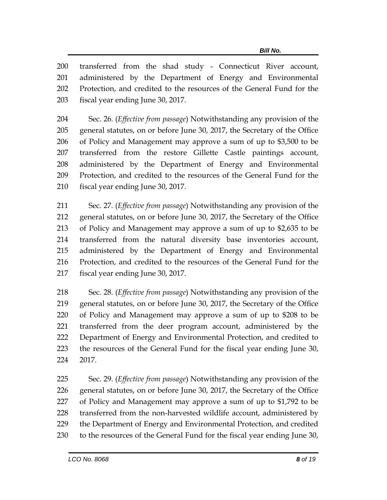transferred from the shad study - Connecticut River account, administered by the Department of Energy and Environmental Protection, and credited to the resources of the General Fund for the fiscal year ending June 30, 2017.

 Sec. 26. (*Effective from passage*) Notwithstanding any provision of the general statutes, on or before June 30, 2017, the Secretary of the Office of Policy and Management may approve a sum of up to \$3,500 to be transferred from the restore Gillette Castle paintings account, administered by the Department of Energy and Environmental Protection, and credited to the resources of the General Fund for the fiscal year ending June 30, 2017.

 Sec. 27. (*Effective from passage*) Notwithstanding any provision of the general statutes, on or before June 30, 2017, the Secretary of the Office of Policy and Management may approve a sum of up to \$2,635 to be transferred from the natural diversity base inventories account, administered by the Department of Energy and Environmental Protection, and credited to the resources of the General Fund for the fiscal year ending June 30, 2017.

 Sec. 28. (*Effective from passage*) Notwithstanding any provision of the general statutes, on or before June 30, 2017, the Secretary of the Office of Policy and Management may approve a sum of up to \$208 to be transferred from the deer program account, administered by the Department of Energy and Environmental Protection, and credited to the resources of the General Fund for the fiscal year ending June 30, 2017.

 Sec. 29. (*Effective from passage*) Notwithstanding any provision of the general statutes, on or before June 30, 2017, the Secretary of the Office of Policy and Management may approve a sum of up to \$1,792 to be transferred from the non-harvested wildlife account, administered by the Department of Energy and Environmental Protection, and credited to the resources of the General Fund for the fiscal year ending June 30,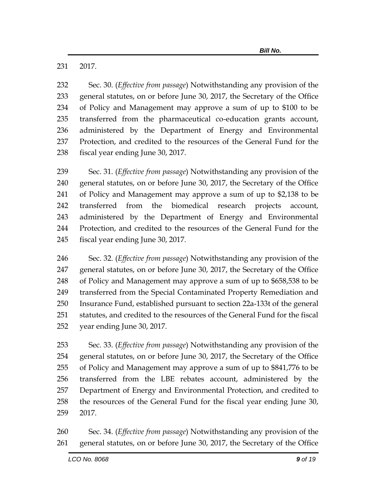2017.

 Sec. 30. (*Effective from passage*) Notwithstanding any provision of the general statutes, on or before June 30, 2017, the Secretary of the Office of Policy and Management may approve a sum of up to \$100 to be transferred from the pharmaceutical co-education grants account, administered by the Department of Energy and Environmental Protection, and credited to the resources of the General Fund for the fiscal year ending June 30, 2017.

 Sec. 31. (*Effective from passage*) Notwithstanding any provision of the general statutes, on or before June 30, 2017, the Secretary of the Office of Policy and Management may approve a sum of up to \$2,138 to be transferred from the biomedical research projects account, administered by the Department of Energy and Environmental Protection, and credited to the resources of the General Fund for the fiscal year ending June 30, 2017.

 Sec. 32. (*Effective from passage*) Notwithstanding any provision of the general statutes, on or before June 30, 2017, the Secretary of the Office of Policy and Management may approve a sum of up to \$658,538 to be transferred from the Special Contaminated Property Remediation and Insurance Fund, established pursuant to section 22a-133t of the general statutes, and credited to the resources of the General Fund for the fiscal year ending June 30, 2017.

 Sec. 33. (*Effective from passage*) Notwithstanding any provision of the general statutes, on or before June 30, 2017, the Secretary of the Office of Policy and Management may approve a sum of up to \$841,776 to be transferred from the LBE rebates account, administered by the Department of Energy and Environmental Protection, and credited to the resources of the General Fund for the fiscal year ending June 30, 2017.

 Sec. 34. (*Effective from passage*) Notwithstanding any provision of the general statutes, on or before June 30, 2017, the Secretary of the Office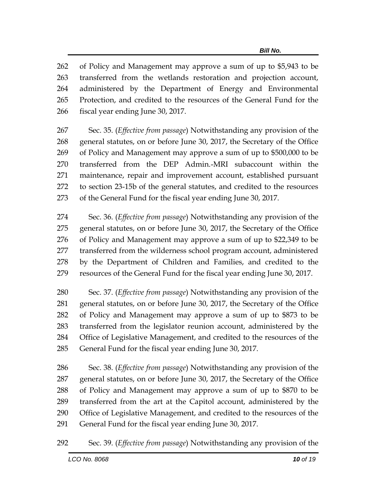of Policy and Management may approve a sum of up to \$5,943 to be transferred from the wetlands restoration and projection account, administered by the Department of Energy and Environmental Protection, and credited to the resources of the General Fund for the fiscal year ending June 30, 2017.

 Sec. 35. (*Effective from passage*) Notwithstanding any provision of the general statutes, on or before June 30, 2017, the Secretary of the Office of Policy and Management may approve a sum of up to \$500,000 to be transferred from the DEP Admin.-MRI subaccount within the maintenance, repair and improvement account, established pursuant to section 23-15b of the general statutes, and credited to the resources of the General Fund for the fiscal year ending June 30, 2017.

 Sec. 36. (*Effective from passage*) Notwithstanding any provision of the general statutes, on or before June 30, 2017, the Secretary of the Office of Policy and Management may approve a sum of up to \$22,349 to be transferred from the wilderness school program account, administered by the Department of Children and Families, and credited to the resources of the General Fund for the fiscal year ending June 30, 2017.

 Sec. 37. (*Effective from passage*) Notwithstanding any provision of the general statutes, on or before June 30, 2017, the Secretary of the Office of Policy and Management may approve a sum of up to \$873 to be transferred from the legislator reunion account, administered by the Office of Legislative Management, and credited to the resources of the General Fund for the fiscal year ending June 30, 2017.

 Sec. 38. (*Effective from passage*) Notwithstanding any provision of the general statutes, on or before June 30, 2017, the Secretary of the Office of Policy and Management may approve a sum of up to \$870 to be transferred from the art at the Capitol account, administered by the Office of Legislative Management, and credited to the resources of the General Fund for the fiscal year ending June 30, 2017.

Sec. 39. (*Effective from passage*) Notwithstanding any provision of the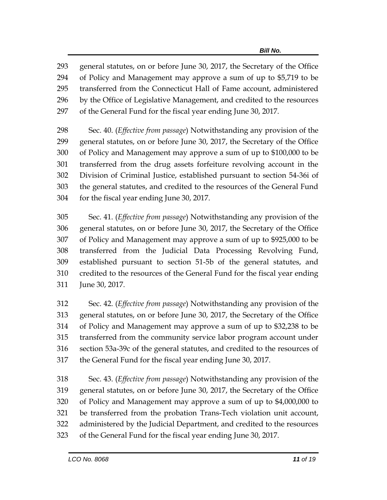general statutes, on or before June 30, 2017, the Secretary of the Office of Policy and Management may approve a sum of up to \$5,719 to be transferred from the Connecticut Hall of Fame account, administered by the Office of Legislative Management, and credited to the resources of the General Fund for the fiscal year ending June 30, 2017.

 Sec. 40. (*Effective from passage*) Notwithstanding any provision of the general statutes, on or before June 30, 2017, the Secretary of the Office of Policy and Management may approve a sum of up to \$100,000 to be transferred from the drug assets forfeiture revolving account in the Division of Criminal Justice, established pursuant to section 54-36i of the general statutes, and credited to the resources of the General Fund for the fiscal year ending June 30, 2017.

 Sec. 41. (*Effective from passage*) Notwithstanding any provision of the general statutes, on or before June 30, 2017, the Secretary of the Office of Policy and Management may approve a sum of up to \$925,000 to be transferred from the Judicial Data Processing Revolving Fund, established pursuant to section 51-5b of the general statutes, and credited to the resources of the General Fund for the fiscal year ending June 30, 2017.

 Sec. 42. (*Effective from passage*) Notwithstanding any provision of the general statutes, on or before June 30, 2017, the Secretary of the Office of Policy and Management may approve a sum of up to \$32,238 to be transferred from the community service labor program account under section 53a-39c of the general statutes, and credited to the resources of the General Fund for the fiscal year ending June 30, 2017.

 Sec. 43. (*Effective from passage*) Notwithstanding any provision of the general statutes, on or before June 30, 2017, the Secretary of the Office of Policy and Management may approve a sum of up to \$4,000,000 to be transferred from the probation Trans-Tech violation unit account, administered by the Judicial Department, and credited to the resources of the General Fund for the fiscal year ending June 30, 2017.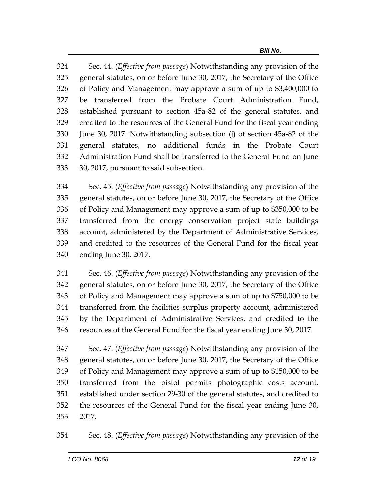Sec. 44. (*Effective from passage*) Notwithstanding any provision of the general statutes, on or before June 30, 2017, the Secretary of the Office of Policy and Management may approve a sum of up to \$3,400,000 to be transferred from the Probate Court Administration Fund, established pursuant to section 45a-82 of the general statutes, and credited to the resources of the General Fund for the fiscal year ending June 30, 2017. Notwithstanding subsection (j) of section 45a-82 of the general statutes, no additional funds in the Probate Court Administration Fund shall be transferred to the General Fund on June 30, 2017, pursuant to said subsection.

 Sec. 45. (*Effective from passage*) Notwithstanding any provision of the general statutes, on or before June 30, 2017, the Secretary of the Office of Policy and Management may approve a sum of up to \$350,000 to be transferred from the energy conservation project state buildings account, administered by the Department of Administrative Services, and credited to the resources of the General Fund for the fiscal year ending June 30, 2017.

 Sec. 46. (*Effective from passage*) Notwithstanding any provision of the general statutes, on or before June 30, 2017, the Secretary of the Office of Policy and Management may approve a sum of up to \$750,000 to be transferred from the facilities surplus property account, administered by the Department of Administrative Services, and credited to the resources of the General Fund for the fiscal year ending June 30, 2017.

 Sec. 47. (*Effective from passage*) Notwithstanding any provision of the general statutes, on or before June 30, 2017, the Secretary of the Office of Policy and Management may approve a sum of up to \$150,000 to be transferred from the pistol permits photographic costs account, established under section 29-30 of the general statutes, and credited to the resources of the General Fund for the fiscal year ending June 30, 2017.

Sec. 48. (*Effective from passage*) Notwithstanding any provision of the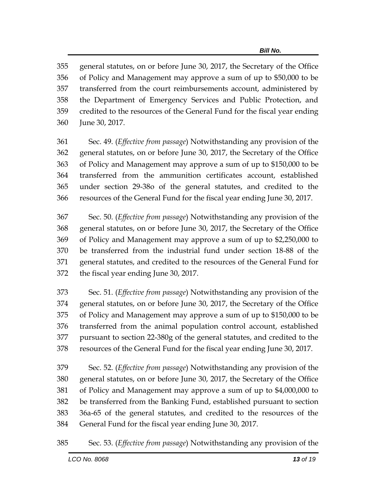general statutes, on or before June 30, 2017, the Secretary of the Office of Policy and Management may approve a sum of up to \$50,000 to be transferred from the court reimbursements account, administered by the Department of Emergency Services and Public Protection, and credited to the resources of the General Fund for the fiscal year ending June 30, 2017.

 Sec. 49. (*Effective from passage*) Notwithstanding any provision of the general statutes, on or before June 30, 2017, the Secretary of the Office of Policy and Management may approve a sum of up to \$150,000 to be transferred from the ammunition certificates account, established under section 29-38o of the general statutes, and credited to the resources of the General Fund for the fiscal year ending June 30, 2017.

 Sec. 50. (*Effective from passage*) Notwithstanding any provision of the general statutes, on or before June 30, 2017, the Secretary of the Office of Policy and Management may approve a sum of up to \$2,250,000 to be transferred from the industrial fund under section 18-88 of the general statutes, and credited to the resources of the General Fund for the fiscal year ending June 30, 2017.

 Sec. 51. (*Effective from passage*) Notwithstanding any provision of the general statutes, on or before June 30, 2017, the Secretary of the Office of Policy and Management may approve a sum of up to \$150,000 to be transferred from the animal population control account, established pursuant to section 22-380g of the general statutes, and credited to the resources of the General Fund for the fiscal year ending June 30, 2017.

 Sec. 52. (*Effective from passage*) Notwithstanding any provision of the general statutes, on or before June 30, 2017, the Secretary of the Office of Policy and Management may approve a sum of up to \$4,000,000 to be transferred from the Banking Fund, established pursuant to section 36a-65 of the general statutes, and credited to the resources of the General Fund for the fiscal year ending June 30, 2017.

Sec. 53. (*Effective from passage*) Notwithstanding any provision of the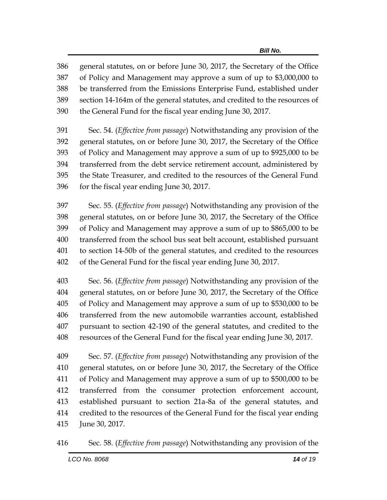general statutes, on or before June 30, 2017, the Secretary of the Office of Policy and Management may approve a sum of up to \$3,000,000 to be transferred from the Emissions Enterprise Fund, established under section 14-164m of the general statutes, and credited to the resources of the General Fund for the fiscal year ending June 30, 2017.

 Sec. 54. (*Effective from passage*) Notwithstanding any provision of the general statutes, on or before June 30, 2017, the Secretary of the Office of Policy and Management may approve a sum of up to \$925,000 to be transferred from the debt service retirement account, administered by the State Treasurer, and credited to the resources of the General Fund for the fiscal year ending June 30, 2017.

 Sec. 55. (*Effective from passage*) Notwithstanding any provision of the general statutes, on or before June 30, 2017, the Secretary of the Office of Policy and Management may approve a sum of up to \$865,000 to be transferred from the school bus seat belt account, established pursuant to section 14-50b of the general statutes, and credited to the resources of the General Fund for the fiscal year ending June 30, 2017.

 Sec. 56. (*Effective from passage*) Notwithstanding any provision of the general statutes, on or before June 30, 2017, the Secretary of the Office of Policy and Management may approve a sum of up to \$530,000 to be transferred from the new automobile warranties account, established pursuant to section 42-190 of the general statutes, and credited to the resources of the General Fund for the fiscal year ending June 30, 2017.

 Sec. 57. (*Effective from passage*) Notwithstanding any provision of the general statutes, on or before June 30, 2017, the Secretary of the Office of Policy and Management may approve a sum of up to \$500,000 to be transferred from the consumer protection enforcement account, established pursuant to section 21a-8a of the general statutes, and credited to the resources of the General Fund for the fiscal year ending June 30, 2017.

Sec. 58. (*Effective from passage*) Notwithstanding any provision of the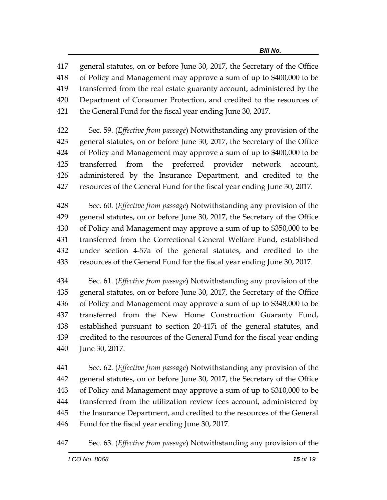general statutes, on or before June 30, 2017, the Secretary of the Office of Policy and Management may approve a sum of up to \$400,000 to be transferred from the real estate guaranty account, administered by the Department of Consumer Protection, and credited to the resources of the General Fund for the fiscal year ending June 30, 2017.

 Sec. 59. (*Effective from passage*) Notwithstanding any provision of the general statutes, on or before June 30, 2017, the Secretary of the Office of Policy and Management may approve a sum of up to \$400,000 to be transferred from the preferred provider network account, administered by the Insurance Department, and credited to the resources of the General Fund for the fiscal year ending June 30, 2017.

 Sec. 60. (*Effective from passage*) Notwithstanding any provision of the general statutes, on or before June 30, 2017, the Secretary of the Office of Policy and Management may approve a sum of up to \$350,000 to be transferred from the Correctional General Welfare Fund, established under section 4-57a of the general statutes, and credited to the resources of the General Fund for the fiscal year ending June 30, 2017.

 Sec. 61. (*Effective from passage*) Notwithstanding any provision of the general statutes, on or before June 30, 2017, the Secretary of the Office of Policy and Management may approve a sum of up to \$348,000 to be transferred from the New Home Construction Guaranty Fund, established pursuant to section 20-417i of the general statutes, and credited to the resources of the General Fund for the fiscal year ending June 30, 2017.

 Sec. 62. (*Effective from passage*) Notwithstanding any provision of the general statutes, on or before June 30, 2017, the Secretary of the Office of Policy and Management may approve a sum of up to \$310,000 to be transferred from the utilization review fees account, administered by the Insurance Department, and credited to the resources of the General Fund for the fiscal year ending June 30, 2017.

Sec. 63. (*Effective from passage*) Notwithstanding any provision of the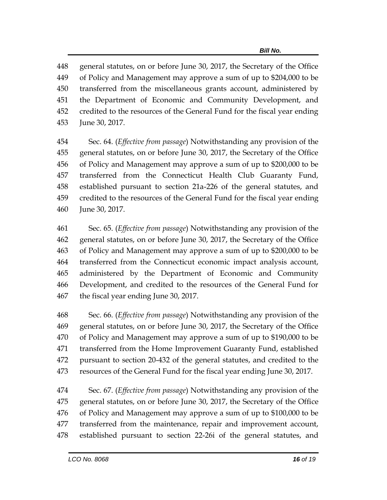general statutes, on or before June 30, 2017, the Secretary of the Office of Policy and Management may approve a sum of up to \$204,000 to be transferred from the miscellaneous grants account, administered by the Department of Economic and Community Development, and credited to the resources of the General Fund for the fiscal year ending June 30, 2017.

 Sec. 64. (*Effective from passage*) Notwithstanding any provision of the general statutes, on or before June 30, 2017, the Secretary of the Office of Policy and Management may approve a sum of up to \$200,000 to be transferred from the Connecticut Health Club Guaranty Fund, established pursuant to section 21a-226 of the general statutes, and credited to the resources of the General Fund for the fiscal year ending June 30, 2017.

 Sec. 65. (*Effective from passage*) Notwithstanding any provision of the general statutes, on or before June 30, 2017, the Secretary of the Office of Policy and Management may approve a sum of up to \$200,000 to be transferred from the Connecticut economic impact analysis account, administered by the Department of Economic and Community Development, and credited to the resources of the General Fund for the fiscal year ending June 30, 2017.

 Sec. 66. (*Effective from passage*) Notwithstanding any provision of the general statutes, on or before June 30, 2017, the Secretary of the Office of Policy and Management may approve a sum of up to \$190,000 to be transferred from the Home Improvement Guaranty Fund, established pursuant to section 20-432 of the general statutes, and credited to the resources of the General Fund for the fiscal year ending June 30, 2017.

 Sec. 67. (*Effective from passage*) Notwithstanding any provision of the general statutes, on or before June 30, 2017, the Secretary of the Office of Policy and Management may approve a sum of up to \$100,000 to be transferred from the maintenance, repair and improvement account, established pursuant to section 22-26i of the general statutes, and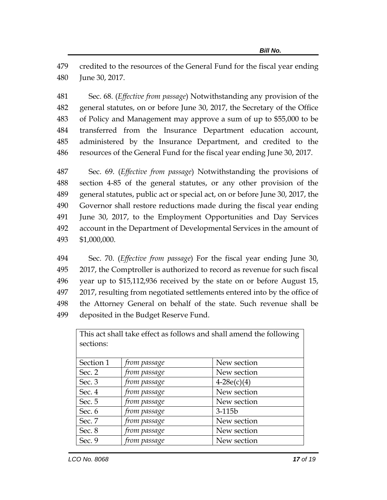credited to the resources of the General Fund for the fiscal year ending June 30, 2017.

 Sec. 68. (*Effective from passage*) Notwithstanding any provision of the general statutes, on or before June 30, 2017, the Secretary of the Office of Policy and Management may approve a sum of up to \$55,000 to be transferred from the Insurance Department education account, administered by the Insurance Department, and credited to the resources of the General Fund for the fiscal year ending June 30, 2017.

 Sec. 69. (*Effective from passage*) Notwithstanding the provisions of section 4-85 of the general statutes, or any other provision of the general statutes, public act or special act, on or before June 30, 2017, the Governor shall restore reductions made during the fiscal year ending June 30, 2017, to the Employment Opportunities and Day Services account in the Department of Developmental Services in the amount of \$1,000,000.

 Sec. 70. (*Effective from passage*) For the fiscal year ending June 30, 2017, the Comptroller is authorized to record as revenue for such fiscal year up to \$15,112,936 received by the state on or before August 15, 2017, resulting from negotiated settlements entered into by the office of the Attorney General on behalf of the state. Such revenue shall be deposited in the Budget Reserve Fund.

| 70<br>sections: |              |               |  |  |
|-----------------|--------------|---------------|--|--|
| Section 1       | from passage | New section   |  |  |
| Sec. $2$        | from passage | New section   |  |  |
| Sec. $3$        | from passage | $4-28e(c)(4)$ |  |  |
| Sec. 4          | from passage | New section   |  |  |
| Sec. 5          | from passage | New section   |  |  |
| Sec. 6          | from passage | $3-115b$      |  |  |
| Sec. 7          | from passage | New section   |  |  |
| Sec. 8          | from passage | New section   |  |  |
| Sec. 9          | from passage | New section   |  |  |

This act shall take effect as follows and shall amend the following  $\vert$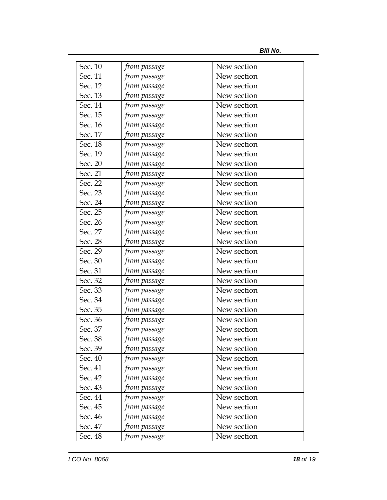*Bill No.*

| Sec. 10 | from passage         | New section |
|---------|----------------------|-------------|
| Sec. 11 | from passage         | New section |
| Sec. 12 | from passage         | New section |
| Sec. 13 | from passage         | New section |
| Sec. 14 | from passage         | New section |
| Sec. 15 | from passage         | New section |
| Sec. 16 | from passage         | New section |
| Sec. 17 | from passage         | New section |
| Sec. 18 | from passage         | New section |
| Sec. 19 | from passage         | New section |
| Sec. 20 | from passage         | New section |
| Sec. 21 | from passage         | New section |
| Sec. 22 | from passage         | New section |
| Sec. 23 | from passage         | New section |
| Sec. 24 | from passage         | New section |
| Sec. 25 | from passage         | New section |
| Sec. 26 | from passage         | New section |
| Sec. 27 | from passage         | New section |
| Sec. 28 | from passage         | New section |
| Sec. 29 | from passage         | New section |
| Sec. 30 | from passage         | New section |
| Sec. 31 | from passage         | New section |
| Sec. 32 | from passage         | New section |
| Sec. 33 | from passage         | New section |
| Sec. 34 | from passage         | New section |
| Sec. 35 | from passage         | New section |
| Sec. 36 | from passage         | New section |
| Sec. 37 | from passage         | New section |
| Sec. 38 | from p <u>assage</u> | New section |
| Sec. 39 | from passage         | New section |
| Sec. 40 | from passage         | New section |
| Sec. 41 | from passage         | New section |
| Sec. 42 | from passage         | New section |
| Sec. 43 | from passage         | New section |
| Sec. 44 | from passage         | New section |
| Sec. 45 | from passage         | New section |
| Sec. 46 | from passage         | New section |
| Sec. 47 | from passage         | New section |
| Sec. 48 | from passage         | New section |